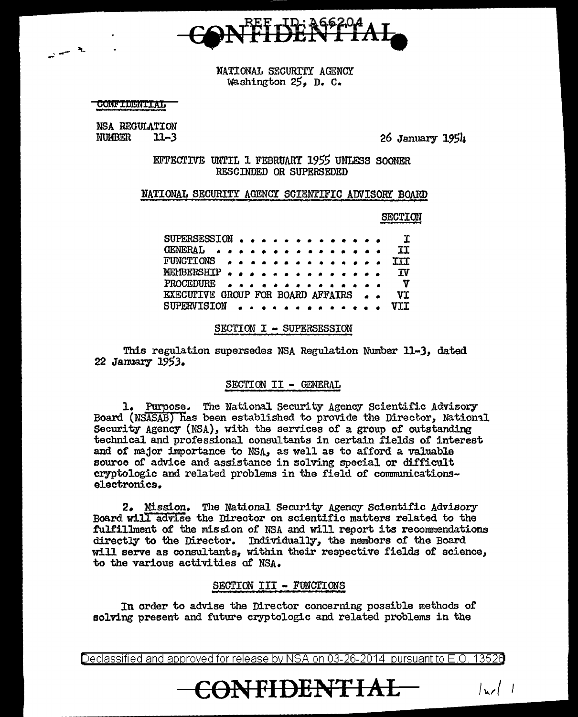

NATIONAL SECURITY AGENCY Waahington 25, D. C.

**CONFIDENTIAL** 

-- ""s... -

NSA REGULATION<br>NUMBER<br>11-3 **NUMBER** 

26 January 1954

EFFECTIVE UNTIL 1 FEBRUARY *1955* UNLESS SOOMER RESCINDED OR SUPERSEDED

#### NATIONAL SECURITY AGENCY SCIENTIFIC ADVISOR! BOARD

SECTION

| SUPERSESSION $\cdots$ I                                                                                                                     |  |  |  |  |  |  |           |
|---------------------------------------------------------------------------------------------------------------------------------------------|--|--|--|--|--|--|-----------|
| GENERAL A A A A A A A A A A A A A A A                                                                                                       |  |  |  |  |  |  | <b>TT</b> |
| FUNCTIONS III                                                                                                                               |  |  |  |  |  |  |           |
| MEMBERSHIP IV                                                                                                                               |  |  |  |  |  |  |           |
| PROCEDURE $\bullet \bullet \bullet \bullet \bullet \bullet \bullet \bullet \bullet \bullet \bullet \bullet \bullet \bullet \bullet \bullet$ |  |  |  |  |  |  |           |
| EXECUTIVE GROUP FOR BOARD AFFAIRS  VI                                                                                                       |  |  |  |  |  |  |           |
| SUPERVISION VII                                                                                                                             |  |  |  |  |  |  |           |

#### SECTION I - SUPERSESSION

This regulation supersedes NSA Regulation Number 11-3, dated 22 January 19SJ.

#### SECTION II - GENERAL

1. Purpose. The National Security Agency Scientific Advisory Board (NSASAB) has been established to provide the Director, National Security Agency (NSA}, with the services of a group of outstanding technical and professional consultants in certain fields of interest and of major importance to NSA, as well as to afford a valuable source of advice and assistance in solving special or difficult cryptologic and related problems in the field of communicationselectronics.

2. Mission. The National Security Agency Scientific Advisory Board will advise the Director on scientific matters related to the fulfillment of the mission of NSA and will report its recommendations directly to the Director. Individually, the membors of the Board will serve as consultants, within their respective fields of science, to the various activities o£ NSA.

#### SECTION III - FUNCTIONS

In order to advise the Director concerning possible methods of solving present and future cryptologic and related problems in the

Declassified and approved for release by NSA on 03-26-2014  $\,$  pursuant to E.O. 13526  $\,$ 

**CONFIDENTIAL**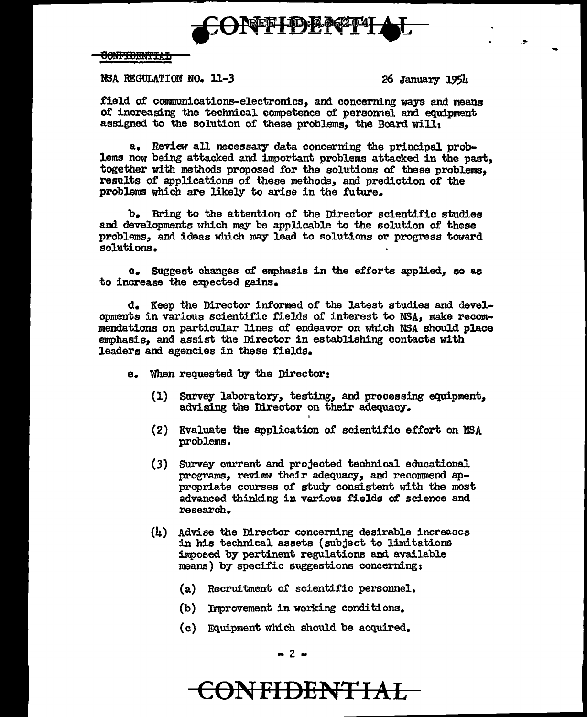

#### CONFIDENTIAL

#### NSA REGULATION NO. ll-3 26 January 1954

.field or communications-electronics, and concerning ways and means of increasing the technical competence of personnel and equipment assigned to the solution of these problems, the Board will:

a. Review all necessary data concerning the principal problems now being attacked and important problems attacked in the past, together with methods proposed for the solutions of these problems, results of applications of these methods, and prediction of the problems which are likely to arise in the future.

b. Bring to the attention of the Director scientific studies and developments which may be applicable to the solution of these problems, and ideas which may lead to solutions or progress toward solutions.

c. SUggest changes of emphasis in the ef£orts applied, so as to increase the expected gains.

d. Keep the Director informed of the latest studies and developments in various scientific fields of interest to NSA, make recommendations on particular lines of endeavor on which NSA should place emphasis, and assist the Director in establishing contacts with leaders and agencies in these fields.

- e. When requested by the Director:
	- (l) Survey laboratory, testing, and processing equipment, advising the Director on their adequacy.
	- (2) Evaluate the application or scientific effort on NBA problems.
	- (3) Survey current and projected technical educational programs, review their adequacy, and recommend appropriate courses of study consistent with the most advanced thinking in various fields of science and research.
	- (4) Advise the Director concerning desirable increases in his technical assets (subject to limitations imposed by pertinent regulations and available means) by specific suggestions concerning:
		- (a) Recruitment of scientific personnel.
		- {b) Improvement in working conditions.
		- { c) Equipment which should be acquired.

# **CONFIDENTIAL**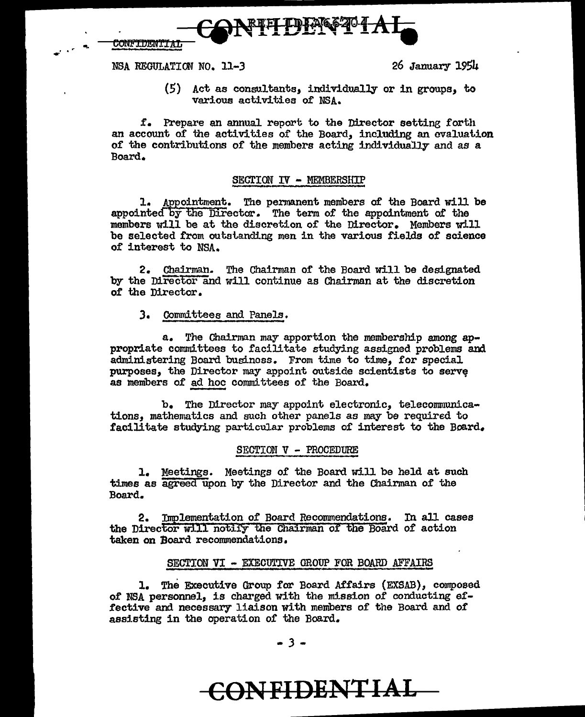.. ·. ---~N!f!~·f-A-1-= ~llmN'filtL .:. ....... --

NSA REGULATION NO. 11-3 26 January 19S4

(5) Act as consultants, individually or in groups, to various activities of NSA.

f. Prepare an annual report to the Director setting forth an account of the activities of the Board, including an evaluation of the contributions of the members acting individually and as a Board.

#### SECTION IV - MEMBERSHIP

1. Appointment. The permanent members of the Board will be appointed by the Director. The term of the appointment of the members will be at the discretion or the Director. Members will be selected from outstanding men in the various fields of science 0£ interest to NSA.

2. Chairman. The Chairman of the Board will be designated by the Director and will continue as Chairman at the discretion of the Director.

#### ). Committees and Panels.

a. The Chairman may apportion the membership among appropriate committees to facilitate studying assigned problems and administering Board business. From time to time, for special purposes, the Director may appoint outside scientists to serve as members of ad hoc committees of the Board.

b. The Director may appoint electronic, telecommunications, mathematics and such other panels as may be required to facilitate studying particular problems of interest to the Board.

#### SECTION V - PROCEDURE

l. Meetings. Meetings of the Board will be held at such times as agreed upon by the Director and the Chairman 0£ the Board.

2. Implementation of Board Recommendations. In all cases the Director will notify the Chairman of the Board of action taken on Board recommendations.

### SECTION VI - EXECULTVE GROUP FOR BOARD AFFAIRS

1. The Executive Group for Board Affairs (EXSAB), composed of NSA personnel, is charged with the mission of conducting effective and necessary liaison with members of the Board and of assisting in the operation of the Board.

# **CONFIDENTIAL** ~~----------111111m **........**